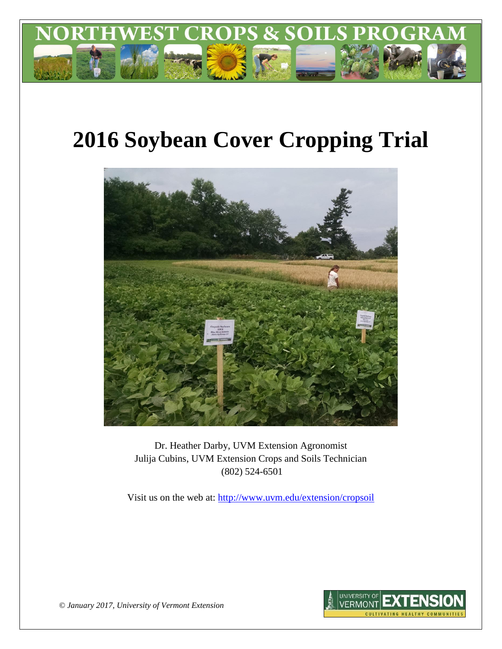

# **2016 Soybean Cover Cropping Trial**



Dr. Heather Darby, UVM Extension Agronomist Julija Cubins, UVM Extension Crops and Soils Technician (802) 524-6501

Visit us on the web at: <http://www.uvm.edu/extension/cropsoil>



*© January 2017, University of Vermont Extension*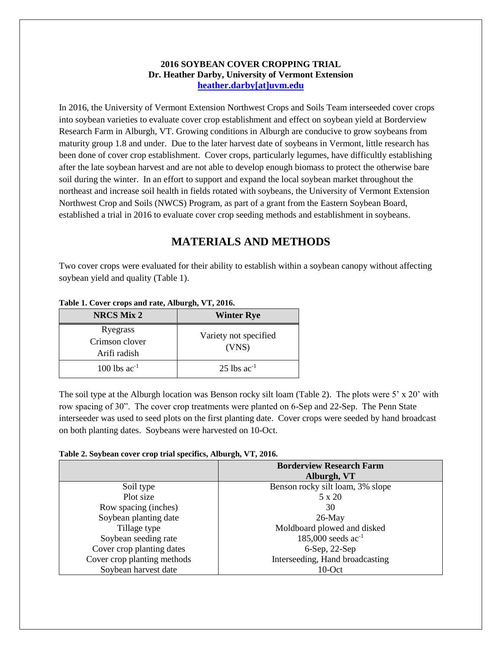### **2016 SOYBEAN COVER CROPPING TRIAL Dr. Heather Darby, University of Vermont Extension [heather.darby\[at\]uvm.edu](mailto:heather.darby@uvm.edu?subject=2012%20Short%20Season%20Corn%20Report)**

In 2016, the University of Vermont Extension Northwest Crops and Soils Team interseeded cover crops into soybean varieties to evaluate cover crop establishment and effect on soybean yield at Borderview Research Farm in Alburgh, VT. Growing conditions in Alburgh are conducive to grow soybeans from maturity group 1.8 and under. Due to the later harvest date of soybeans in Vermont, little research has been done of cover crop establishment. Cover crops, particularly legumes, have difficultly establishing after the late soybean harvest and are not able to develop enough biomass to protect the otherwise bare soil during the winter. In an effort to support and expand the local soybean market throughout the northeast and increase soil health in fields rotated with soybeans, the University of Vermont Extension Northwest Crop and Soils (NWCS) Program, as part of a grant from the Eastern Soybean Board, established a trial in 2016 to evaluate cover crop seeding methods and establishment in soybeans.

# **MATERIALS AND METHODS**

Two cover crops were evaluated for their ability to establish within a soybean canopy without affecting soybean yield and quality (Table 1).

| <b>NRCS Mix 2</b>                          | <b>Winter Rye</b>              |
|--------------------------------------------|--------------------------------|
| Ryegrass<br>Crimson clover<br>Arifi radish | Variety not specified<br>(VNS) |
| $100$ lbs ac <sup>-1</sup>                 | $25$ lbs ac <sup>-1</sup>      |

#### **Table 1. Cover crops and rate, Alburgh, VT, 2016.**

The soil type at the Alburgh location was Benson rocky silt loam (Table 2). The plots were 5' x 20' with row spacing of 30". The cover crop treatments were planted on 6-Sep and 22-Sep. The Penn State interseeder was used to seed plots on the first planting date. Cover crops were seeded by hand broadcast on both planting dates. Soybeans were harvested on 10-Oct.

#### **Table 2. Soybean cover crop trial specifics, Alburgh, VT, 2016.**

|                             | <b>Borderview Research Farm</b><br>Alburgh, VT |
|-----------------------------|------------------------------------------------|
| Soil type                   | Benson rocky silt loam, 3% slope               |
| Plot size                   | 5 x 20                                         |
| Row spacing (inches)        | 30                                             |
| Soybean planting date       | $26$ -May                                      |
| Tillage type                | Moldboard plowed and disked                    |
| Soybean seeding rate        | 185,000 seeds $ac^{-1}$                        |
| Cover crop planting dates   | $6-Sep, 22-Sep$                                |
| Cover crop planting methods | Interseeding, Hand broadcasting                |
| Soybean harvest date        | 10-Oct                                         |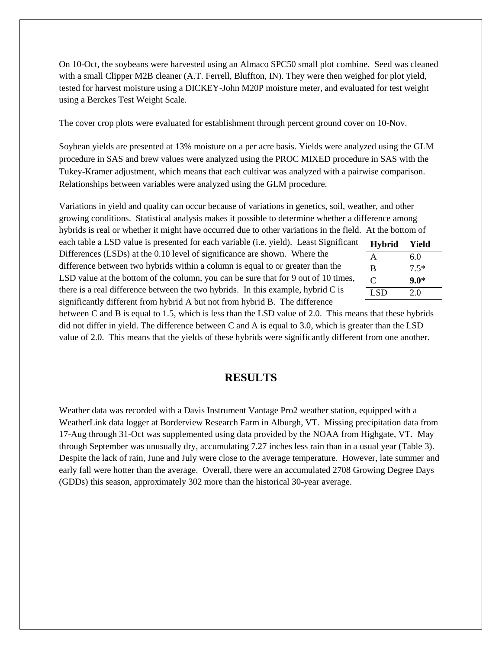On 10-Oct, the soybeans were harvested using an Almaco SPC50 small plot combine. Seed was cleaned with a small Clipper M2B cleaner (A.T. Ferrell, Bluffton, IN). They were then weighed for plot yield, tested for harvest moisture using a DICKEY-John M20P moisture meter, and evaluated for test weight using a Berckes Test Weight Scale.

The cover crop plots were evaluated for establishment through percent ground cover on 10-Nov.

Soybean yields are presented at 13% moisture on a per acre basis. Yields were analyzed using the GLM procedure in SAS and brew values were analyzed using the PROC MIXED procedure in SAS with the Tukey-Kramer adjustment, which means that each cultivar was analyzed with a pairwise comparison. Relationships between variables were analyzed using the GLM procedure.

Variations in yield and quality can occur because of variations in genetics, soil, weather, and other growing conditions. Statistical analysis makes it possible to determine whether a difference among hybrids is real or whether it might have occurred due to other variations in the field. At the bottom of each table a LSD value is presented for each variable (i.e. yield). Least Significant

Differences (LSDs) at the 0.10 level of significance are shown. Where the difference between two hybrids within a column is equal to or greater than the LSD value at the bottom of the column, you can be sure that for 9 out of 10 times, there is a real difference between the two hybrids. In this example, hybrid C is significantly different from hybrid A but not from hybrid B. The difference

| <b>Hybrid</b> | Yield  |
|---------------|--------|
| A             | 6.0    |
| B             | $7.5*$ |
| C             | $9.0*$ |
| LSD.          | 2.0    |
|               |        |

between C and B is equal to 1.5, which is less than the LSD value of 2.0. This means that these hybrids did not differ in yield. The difference between C and A is equal to 3.0, which is greater than the LSD value of 2.0. This means that the yields of these hybrids were significantly different from one another.

## **RESULTS**

Weather data was recorded with a Davis Instrument Vantage Pro2 weather station, equipped with a WeatherLink data logger at Borderview Research Farm in Alburgh, VT. Missing precipitation data from 17-Aug through 31-Oct was supplemented using data provided by the NOAA from Highgate, VT. May through September was unusually dry, accumulating 7.27 inches less rain than in a usual year (Table 3). Despite the lack of rain, June and July were close to the average temperature. However, late summer and early fall were hotter than the average. Overall, there were an accumulated 2708 Growing Degree Days (GDDs) this season, approximately 302 more than the historical 30-year average.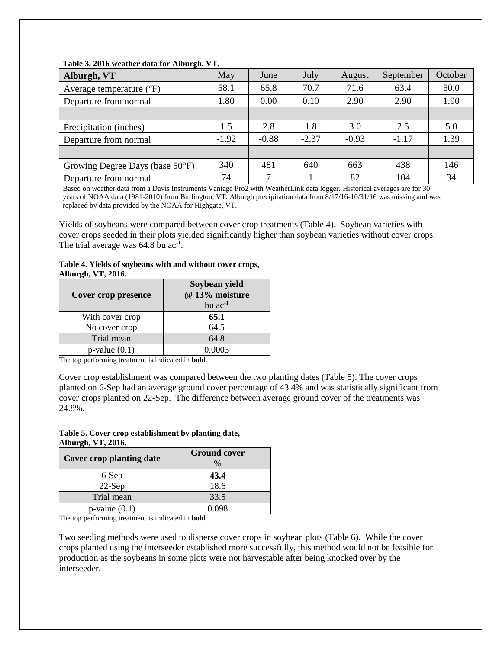| Alburgh, VT                         | May     | June    | July    | August  | September | October |
|-------------------------------------|---------|---------|---------|---------|-----------|---------|
| Average temperature $({}^{\circ}F)$ | 58.1    | 65.8    | 70.7    | 71.6    | 63.4      | 50.0    |
| Departure from normal               | 1.80    | 0.00    | 0.10    | 2.90    | 2.90      | 1.90    |
|                                     |         |         |         |         |           |         |
| Precipitation (inches)              | 1.5     | 2.8     | 1.8     | 3.0     | 2.5       | 5.0     |
| Departure from normal               | $-1.92$ | $-0.88$ | $-2.37$ | $-0.93$ | $-1.17$   | 1.39    |
|                                     |         |         |         |         |           |         |
| Growing Degree Days (base 50°F)     | 340     | 481     | 640     | 663     | 438       | 146     |
| Departure from normal               | 74      | ⇁       |         | 82      | 104       | 34      |

#### **Table 3. 2016 weather data for Alburgh, VT.**

Based on weather data from a Davis Instruments Vantage Pro2 with WeatherLink data logger. Historical averages are for 30 years of NOAA data (1981-2010) from Burlington, VT. Alburgh precipitation data from 8/17/16-10/31/16 was missing and was replaced by data provided by the NOAA for Highgate, VT.

Yields of soybeans were compared between cover crop treatments (Table 4). Soybean varieties with cover crops seeded in their plots yielded significantly higher than soybean varieties without cover crops. The trial average was  $64.8$  bu ac<sup>-1</sup>.

#### **Table 4. Yields of soybeans with and without cover crops, Alburgh, VT, 2016.**

| Cover crop presence | Soybean yield<br>@ 13% moisture<br>bu $ac^{-1}$ |
|---------------------|-------------------------------------------------|
| With cover crop     | 65.1                                            |
| No cover crop       | 64.5                                            |
| Trial mean          | 64.8                                            |
| $p$ -value $(0.1)$  | 0.0003                                          |

The top performing treatment is indicated in **bold**.

Cover crop establishment was compared between the two planting dates (Table 5). The cover crops planted on 6-Sep had an average ground cover percentage of 43.4% and was statistically significant from cover crops planted on 22-Sep. The difference between average ground cover of the treatments was 24.8%.

#### **Table 5. Cover crop establishment by planting date, Alburgh, VT, 2016.**

| <b>Cover crop planting date</b> | <b>Ground cover</b><br>$\%$ |
|---------------------------------|-----------------------------|
| 6-Sep                           | 43.4                        |
| $22-Sep$                        | 18.6                        |
| Trial mean                      | 33.5                        |
| $p$ -value $(0.1)$              | 1098                        |

The top performing treatment is indicated in **bold**.

Two seeding methods were used to disperse cover crops in soybean plots (Table 6). While the cover crops planted using the interseeder established more successfully, this method would not be feasible for production as the soybeans in some plots were not harvestable after being knocked over by the interseeder.